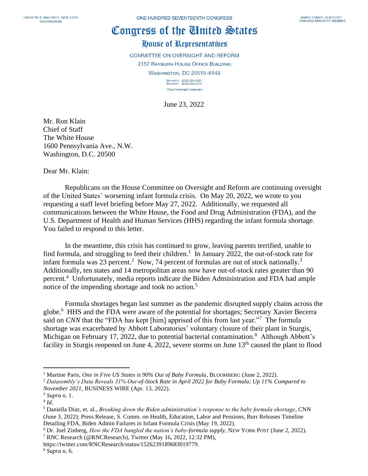## Congress of the Cinited States

## House of Representatives

**COMMITTEE ON OVERSIGHT AND REFORM** 2157 RAYBURN HOUSE OFFICE BUILDING **WASHINGTON, DC 20515-6143** MAJORITY (202) 225-5051<br>MINORITY (202) 225-5074 https://oversight.house.gov

June 23, 2022

Mr. Ron Klain Chief of Staff The White House 1600 Pennsylvania Ave., N.W. Washington, D.C. 20500

Dear Mr. Klain:

Republicans on the House Committee on Oversight and Reform are continuing oversight of the United States' worsening infant formula crisis. On May 20, 2022, we wrote to you requesting a staff level briefing before May 27, 2022. Additionally, we requested all communications between the White House, the Food and Drug Administration (FDA), and the U.S. Department of Health and Human Services (HHS) regarding the infant formula shortage. You failed to respond to this letter.

In the meantime, this crisis has continued to grow, leaving parents terrified, unable to find formula, and struggling to feed their children.<sup>1</sup> In January 2022, the out-of-stock rate for infant formula was 23 percent.<sup>2</sup> Now, 74 percent of formulas are out of stock nationally.<sup>3</sup> Additionally, ten states and 14 metropolitan areas now have out-of-stock rates greater than 90 percent. 4 Unfortunately, media reports indicate the Biden Administration and FDA had ample notice of the impending shortage and took no action.<sup>5</sup>

Formula shortages began last summer as the pandemic disrupted supply chains across the globe.<sup>6</sup> HHS and the FDA were aware of the potential for shortages; Secretary Xavier Becerra said on *CNN* that the "FDA has kept [him] apprised of this from last year."<sup>7</sup> The formula shortage was exacerbated by Abbott Laboratories' voluntary closure of their plant in Sturgis, Michigan on February 17, 2022, due to potential bacterial contamination.<sup>8</sup> Although Abbott's facility in Sturgis reopened on June 4, 2022, severe storms on June  $13<sup>th</sup>$  caused the plant to flood

<sup>&</sup>lt;sup>1</sup> Martine Paris, *One in Five US States is 90% Out of Baby Formula*, BLOOMBERG (June 2, 2022).

<sup>2</sup> *Datasembly's Data Reveals 31% Out-of-Stock Rate in April 2022 for Baby Formula; Up 11% Compared to November 2021*, BUSINESS WIRE (Apr. 13, 2022).

<sup>3</sup> *Supra* n. 1.

<sup>4</sup> *Id.*

<sup>5</sup> Daniella Diaz, et. al., *Breaking down the Biden administration's response to the baby formula shortage*, CNN (June 3, 2022); Press Release, S. Comm. on Health, Education, Labor and Pensions, Burr Releases Timeline Detailing FDA, Biden Admin Failures in Infant Formula Crisis (May 19, 2022).

<sup>6</sup> Dr. Joel Zinberg, *How the FDA bungled the nation's baby-formula supply*, NEW YORK POST (June 2, 2022).

<sup>7</sup> RNC Research (@RNCResearch), Twitter (May 16, 2022, 12:32 PM),

https://twitter.com/RNCResearch/status/1526239189683019779.

<sup>8</sup> *Supra* n. 6.